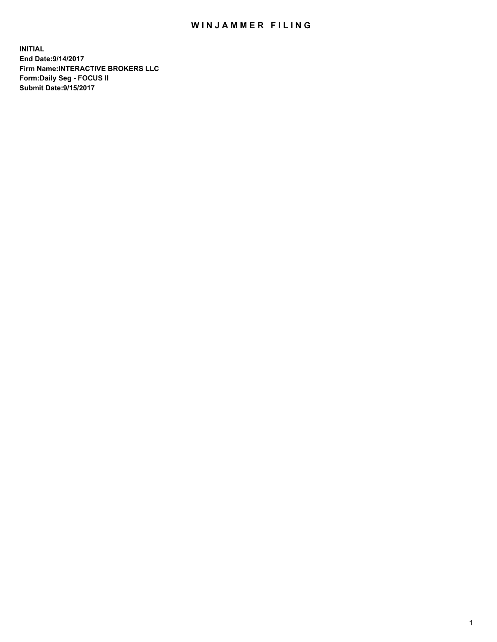## WIN JAMMER FILING

**INITIAL End Date:9/14/2017 Firm Name:INTERACTIVE BROKERS LLC Form:Daily Seg - FOCUS II Submit Date:9/15/2017**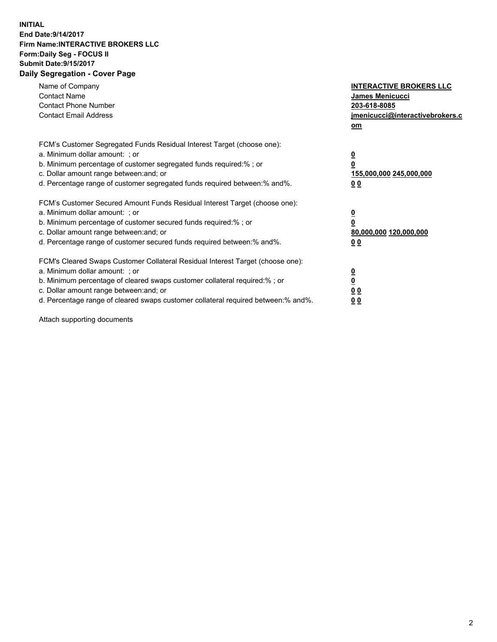## **INITIAL End Date:9/14/2017 Firm Name:INTERACTIVE BROKERS LLC Form:Daily Seg - FOCUS II Submit Date:9/15/2017 Daily Segregation - Cover Page**

| Name of Company<br><b>Contact Name</b><br><b>Contact Phone Number</b><br><b>Contact Email Address</b>                                                                                                                                                                                                                          | <b>INTERACTIVE BROKERS LLC</b><br><b>James Menicucci</b><br>203-618-8085<br>jmenicucci@interactivebrokers.c<br>om |
|--------------------------------------------------------------------------------------------------------------------------------------------------------------------------------------------------------------------------------------------------------------------------------------------------------------------------------|-------------------------------------------------------------------------------------------------------------------|
| FCM's Customer Segregated Funds Residual Interest Target (choose one):<br>a. Minimum dollar amount: ; or<br>b. Minimum percentage of customer segregated funds required:%; or<br>c. Dollar amount range between: and; or<br>d. Percentage range of customer segregated funds required between:% and%.                          | $\overline{\mathbf{0}}$<br>0<br>155,000,000 245,000,000<br>0 <sub>0</sub>                                         |
| FCM's Customer Secured Amount Funds Residual Interest Target (choose one):<br>a. Minimum dollar amount: ; or<br>b. Minimum percentage of customer secured funds required:%; or<br>c. Dollar amount range between: and; or<br>d. Percentage range of customer secured funds required between: % and %.                          | $\overline{\mathbf{0}}$<br>0<br>80,000,000 120,000,000<br>0 <sub>0</sub>                                          |
| FCM's Cleared Swaps Customer Collateral Residual Interest Target (choose one):<br>a. Minimum dollar amount: ; or<br>b. Minimum percentage of cleared swaps customer collateral required:% ; or<br>c. Dollar amount range between: and; or<br>d. Percentage range of cleared swaps customer collateral required between:% and%. | $\overline{\mathbf{0}}$<br>$\overline{\mathbf{0}}$<br>0 <sub>0</sub><br><u>00</u>                                 |

Attach supporting documents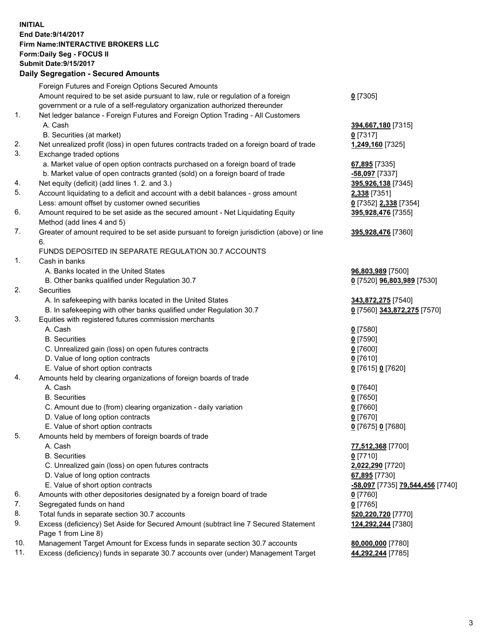## **INITIAL End Date:9/14/2017 Firm Name:INTERACTIVE BROKERS LLC Form:Daily Seg - FOCUS II Submit Date:9/15/2017**

|     | <b>Daily Segregation - Secured Amounts</b>                                                  |                                  |
|-----|---------------------------------------------------------------------------------------------|----------------------------------|
|     | Foreign Futures and Foreign Options Secured Amounts                                         |                                  |
|     | Amount required to be set aside pursuant to law, rule or regulation of a foreign            | $0$ [7305]                       |
|     | government or a rule of a self-regulatory organization authorized thereunder                |                                  |
| 1.  | Net ledger balance - Foreign Futures and Foreign Option Trading - All Customers             |                                  |
|     | A. Cash                                                                                     | 394,667,180 [7315]               |
|     | B. Securities (at market)                                                                   | $0$ [7317]                       |
| 2.  | Net unrealized profit (loss) in open futures contracts traded on a foreign board of trade   | 1,249,160 [7325]                 |
| 3.  | Exchange traded options                                                                     |                                  |
|     | a. Market value of open option contracts purchased on a foreign board of trade              | 67,895 [7335]                    |
|     | b. Market value of open contracts granted (sold) on a foreign board of trade                | -58,097 [7337]                   |
| 4.  | Net equity (deficit) (add lines 1. 2. and 3.)                                               | 395,926,138 [7345]               |
| 5.  | Account liquidating to a deficit and account with a debit balances - gross amount           | 2,338 [7351]                     |
|     | Less: amount offset by customer owned securities                                            | 0 [7352] 2,338 [7354]            |
| 6.  | Amount required to be set aside as the secured amount - Net Liquidating Equity              | 395,928,476 [7355]               |
|     | Method (add lines 4 and 5)                                                                  |                                  |
| 7.  | Greater of amount required to be set aside pursuant to foreign jurisdiction (above) or line | 395,928,476 [7360]               |
|     | 6.                                                                                          |                                  |
|     | FUNDS DEPOSITED IN SEPARATE REGULATION 30.7 ACCOUNTS                                        |                                  |
| 1.  | Cash in banks                                                                               |                                  |
|     | A. Banks located in the United States                                                       | 96,803,989 [7500]                |
|     | B. Other banks qualified under Regulation 30.7                                              | 0 [7520] 96,803,989 [7530]       |
| 2.  | Securities                                                                                  |                                  |
|     | A. In safekeeping with banks located in the United States                                   | 343,872,275 [7540]               |
|     | B. In safekeeping with other banks qualified under Regulation 30.7                          | 0 [7560] 343,872,275 [7570]      |
| 3.  | Equities with registered futures commission merchants                                       |                                  |
|     | A. Cash                                                                                     | $0$ [7580]                       |
|     | <b>B.</b> Securities                                                                        | $0$ [7590]                       |
|     | C. Unrealized gain (loss) on open futures contracts                                         | $0$ [7600]                       |
|     | D. Value of long option contracts                                                           | $0$ [7610]                       |
|     | E. Value of short option contracts                                                          | 0 [7615] 0 [7620]                |
| 4.  | Amounts held by clearing organizations of foreign boards of trade                           |                                  |
|     | A. Cash<br><b>B.</b> Securities                                                             | $0$ [7640]<br>$0$ [7650]         |
|     | C. Amount due to (from) clearing organization - daily variation                             | $0$ [7660]                       |
|     | D. Value of long option contracts                                                           | $0$ [7670]                       |
|     | E. Value of short option contracts                                                          | 0 [7675] 0 [7680]                |
| 5.  | Amounts held by members of foreign boards of trade                                          |                                  |
|     | A. Cash                                                                                     | 77,512,368 [7700]                |
|     | <b>B.</b> Securities                                                                        | $0$ [7710]                       |
|     | C. Unrealized gain (loss) on open futures contracts                                         | 2,022,290 [7720]                 |
|     | D. Value of long option contracts                                                           | 67,895 [7730]                    |
|     | E. Value of short option contracts                                                          | -58,097 [7735] 79,544,456 [7740] |
| 6.  | Amounts with other depositories designated by a foreign board of trade                      | $0$ [7760]                       |
| 7.  | Segregated funds on hand                                                                    | $0$ [7765]                       |
| 8.  | Total funds in separate section 30.7 accounts                                               | 520,220,720 [7770]               |
| 9.  | Excess (deficiency) Set Aside for Secured Amount (subtract line 7 Secured Statement         | 124,292,244 [7380]               |
|     | Page 1 from Line 8)                                                                         |                                  |
| 10. | Management Target Amount for Excess funds in separate section 30.7 accounts                 | 80,000,000 [7780]                |
| 11. | Excess (deficiency) funds in separate 30.7 accounts over (under) Management Target          | 44,292,244 [7785]                |
|     |                                                                                             |                                  |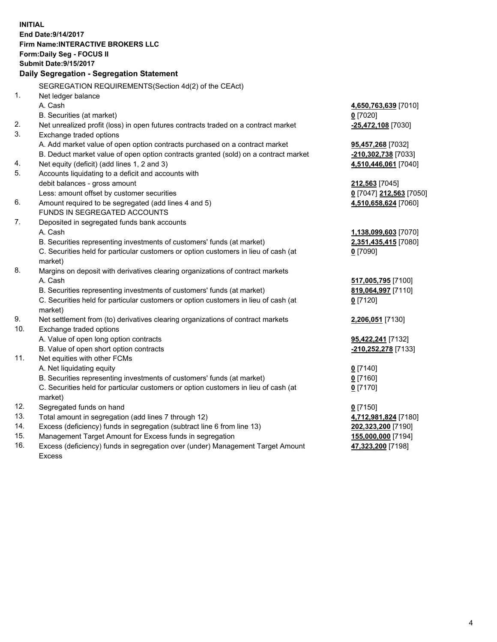**INITIAL End Date:9/14/2017 Firm Name:INTERACTIVE BROKERS LLC Form:Daily Seg - FOCUS II Submit Date:9/15/2017 Daily Segregation - Segregation Statement** SEGREGATION REQUIREMENTS(Section 4d(2) of the CEAct) 1. Net ledger balance A. Cash **4,650,763,639** [7010] B. Securities (at market) **0** [7020] 2. Net unrealized profit (loss) in open futures contracts traded on a contract market **-25,472,108** [7030] 3. Exchange traded options A. Add market value of open option contracts purchased on a contract market **95,457,268** [7032] B. Deduct market value of open option contracts granted (sold) on a contract market **-210,302,738** [7033] 4. Net equity (deficit) (add lines 1, 2 and 3) **4,510,446,061** [7040] 5. Accounts liquidating to a deficit and accounts with debit balances - gross amount **212,563** [7045] Less: amount offset by customer securities **0** [7047] **212,563** [7050] 6. Amount required to be segregated (add lines 4 and 5) **4,510,658,624** [7060] FUNDS IN SEGREGATED ACCOUNTS 7. Deposited in segregated funds bank accounts A. Cash **1,138,099,603** [7070] B. Securities representing investments of customers' funds (at market) **2,351,435,415** [7080] C. Securities held for particular customers or option customers in lieu of cash (at market) **0** [7090] 8. Margins on deposit with derivatives clearing organizations of contract markets A. Cash **517,005,795** [7100] B. Securities representing investments of customers' funds (at market) **819,064,997** [7110] C. Securities held for particular customers or option customers in lieu of cash (at market) **0** [7120] 9. Net settlement from (to) derivatives clearing organizations of contract markets **2,206,051** [7130] 10. Exchange traded options A. Value of open long option contracts **95,422,241** [7132] B. Value of open short option contracts **-210,252,278** [7133] 11. Net equities with other FCMs A. Net liquidating equity **0** [7140] B. Securities representing investments of customers' funds (at market) **0** [7160] C. Securities held for particular customers or option customers in lieu of cash (at market) **0** [7170] 12. Segregated funds on hand **0** [7150] 13. Total amount in segregation (add lines 7 through 12) **4,712,981,824** [7180] 14. Excess (deficiency) funds in segregation (subtract line 6 from line 13) **202,323,200** [7190] 15. Management Target Amount for Excess funds in segregation **155,000,000** [7194] 16. Excess (deficiency) funds in segregation over (under) Management Target Amount **47,323,200** [7198]

Excess